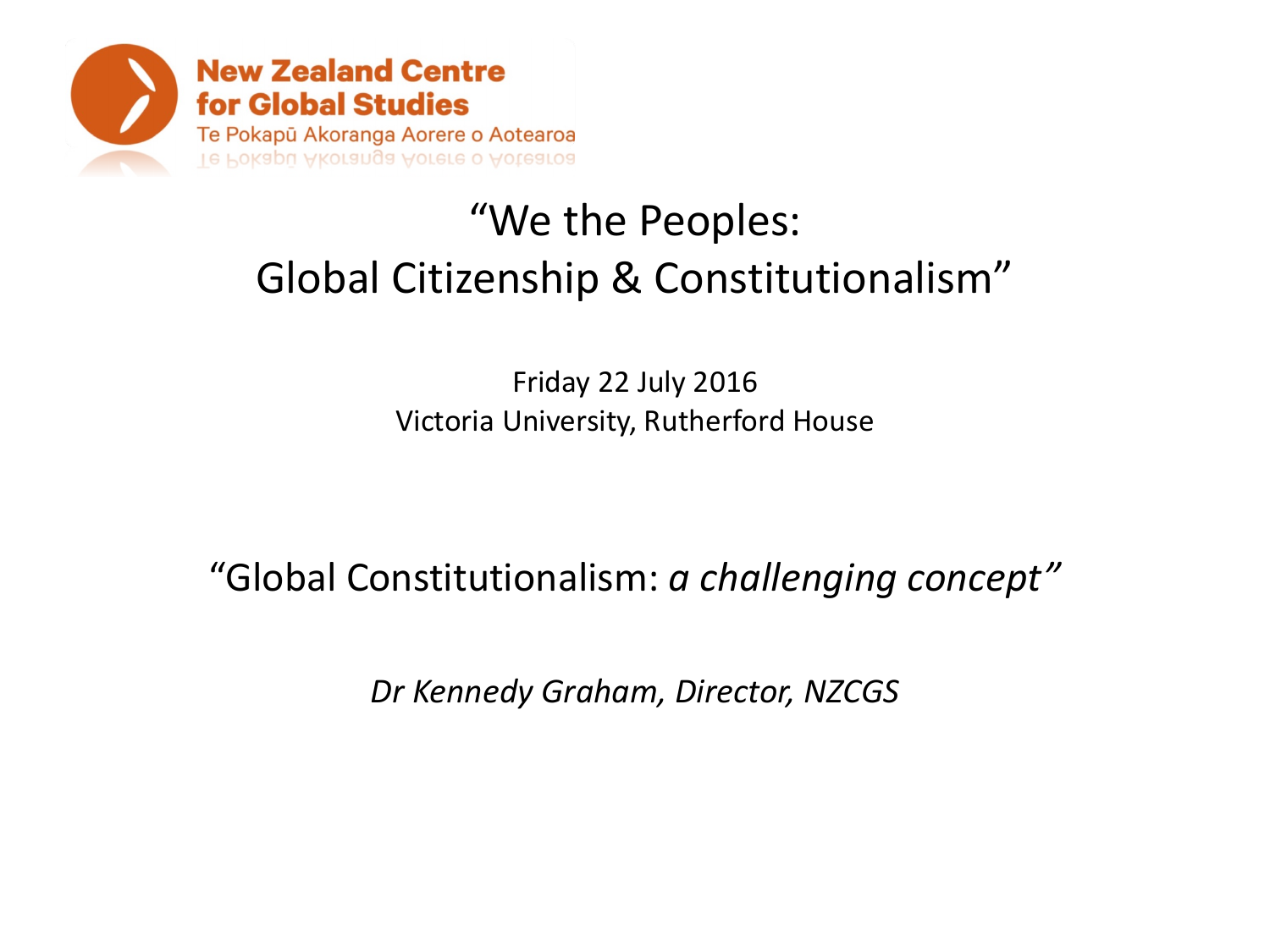

# "We the Peoples: Global Citizenship & Constitutionalism"

Friday 22 July 2016 Victoria University, Rutherford House

"Global Constitutionalism: *a challenging concept"*

*Dr Kennedy Graham, Director, NZCGS*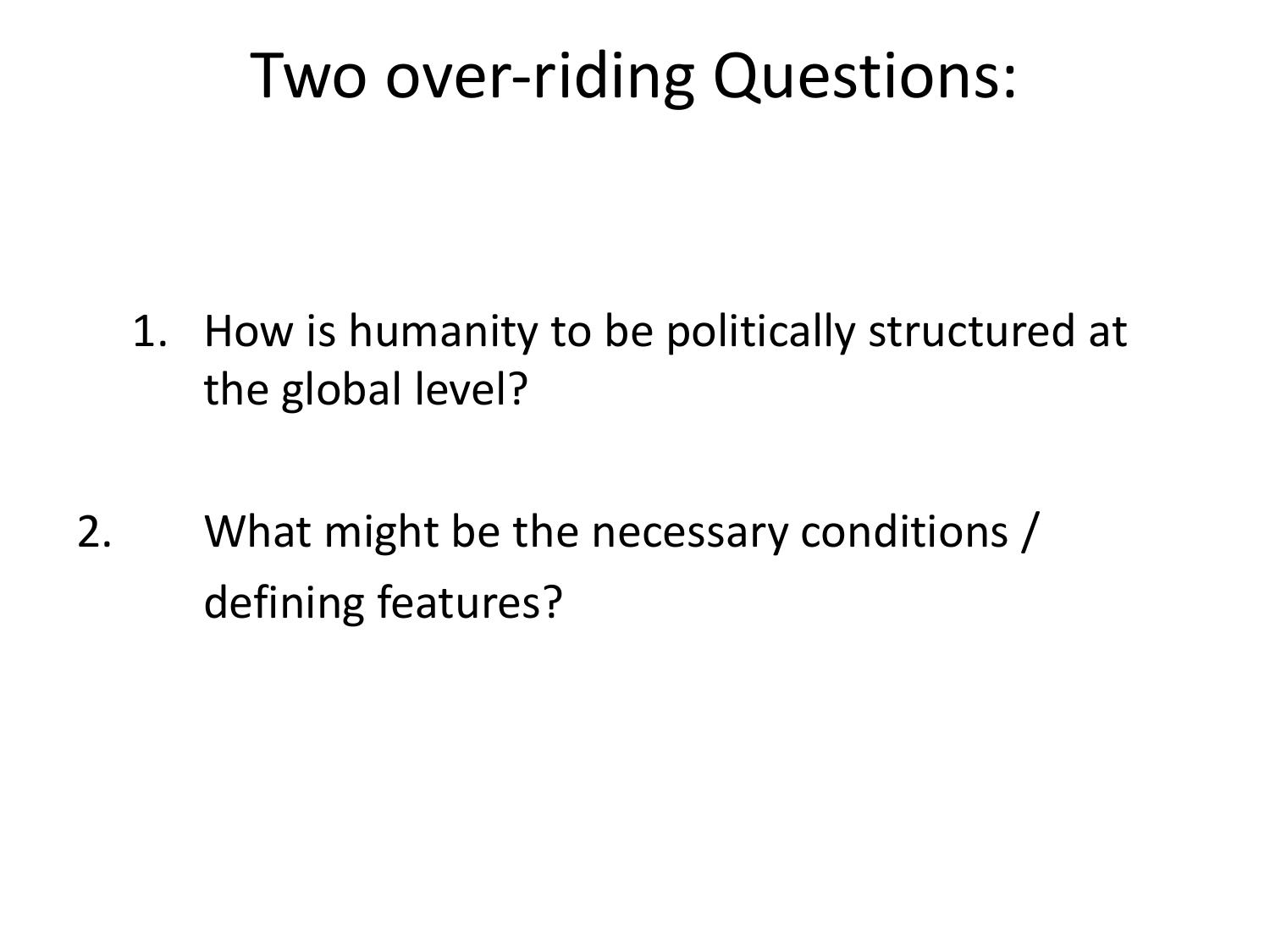# Two over-riding Questions:

- 1. How is humanity to be politically structured at the global level?
- 2. What might be the necessary conditions / defining features?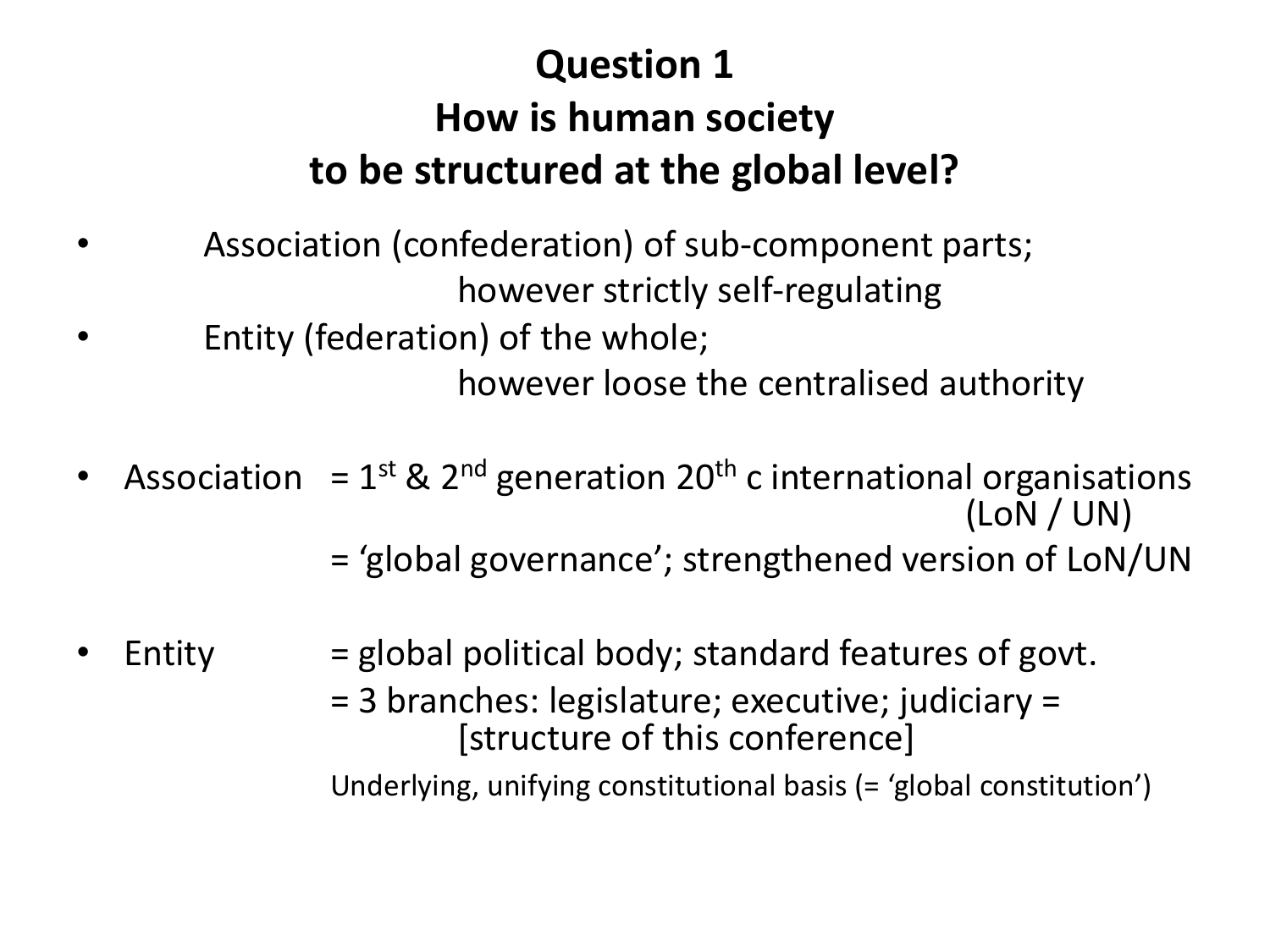## **Question 1 How is human society to be structured at the global level?**

- Association (confederation) of sub-component parts; however strictly self-regulating
- Entity (federation) of the whole;

however loose the centralised authority

- Association =  $1^{st}$  &  $2^{nd}$  generation  $20^{th}$  c international organisations (LoN / UN)
	- = 'global governance'; strengthened version of LoN/UN
- ${\sf Entity}$  = global political body; standard features of govt.
	- = 3 branches: legislature; executive; judiciary = [structure of this conference]

Underlying, unifying constitutional basis (= 'global constitution')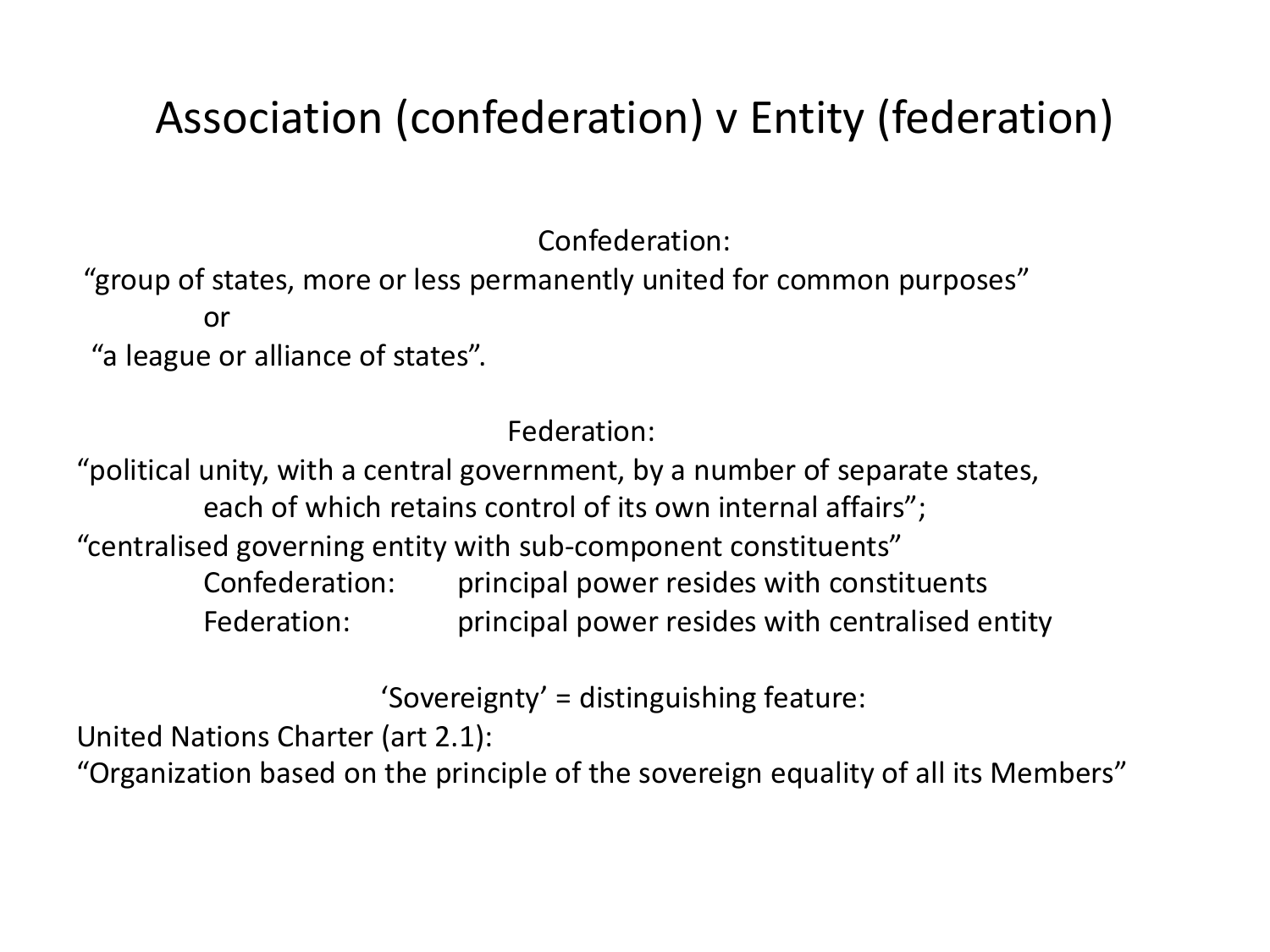# Association (confederation) v Entity (federation)

Confederation:

"group of states, more or less permanently united for common purposes" or

"a league or alliance of states".

Federation:

"political unity, with a central government, by a number of separate states, each of which retains control of its own internal affairs"; "centralised governing entity with sub-component constituents" Confederation: principal power resides with constituents Federation: principal power resides with centralised entity

'Sovereignty' = distinguishing feature:

United Nations Charter (art 2.1):

"Organization based on the principle of the sovereign equality of all its Members"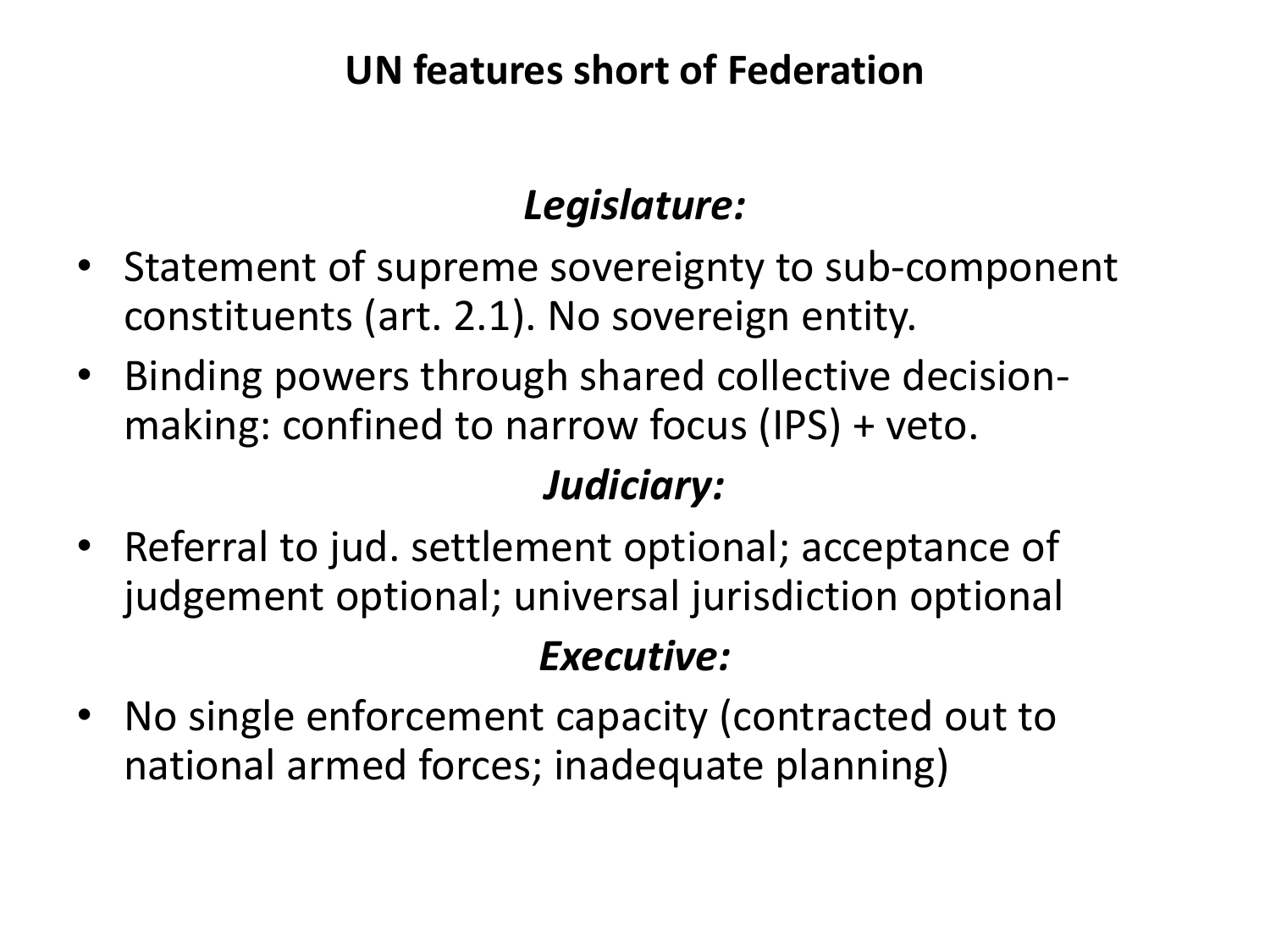### **UN features short of Federation**

### *Legislature:*

- Statement of supreme sovereignty to sub-component constituents (art. 2.1). No sovereign entity.
- Binding powers through shared collective decisionmaking: confined to narrow focus (IPS) + veto.

### *Judiciary:*

• Referral to jud. settlement optional; acceptance of judgement optional; universal jurisdiction optional

### *Executive:*

• No single enforcement capacity (contracted out to national armed forces; inadequate planning)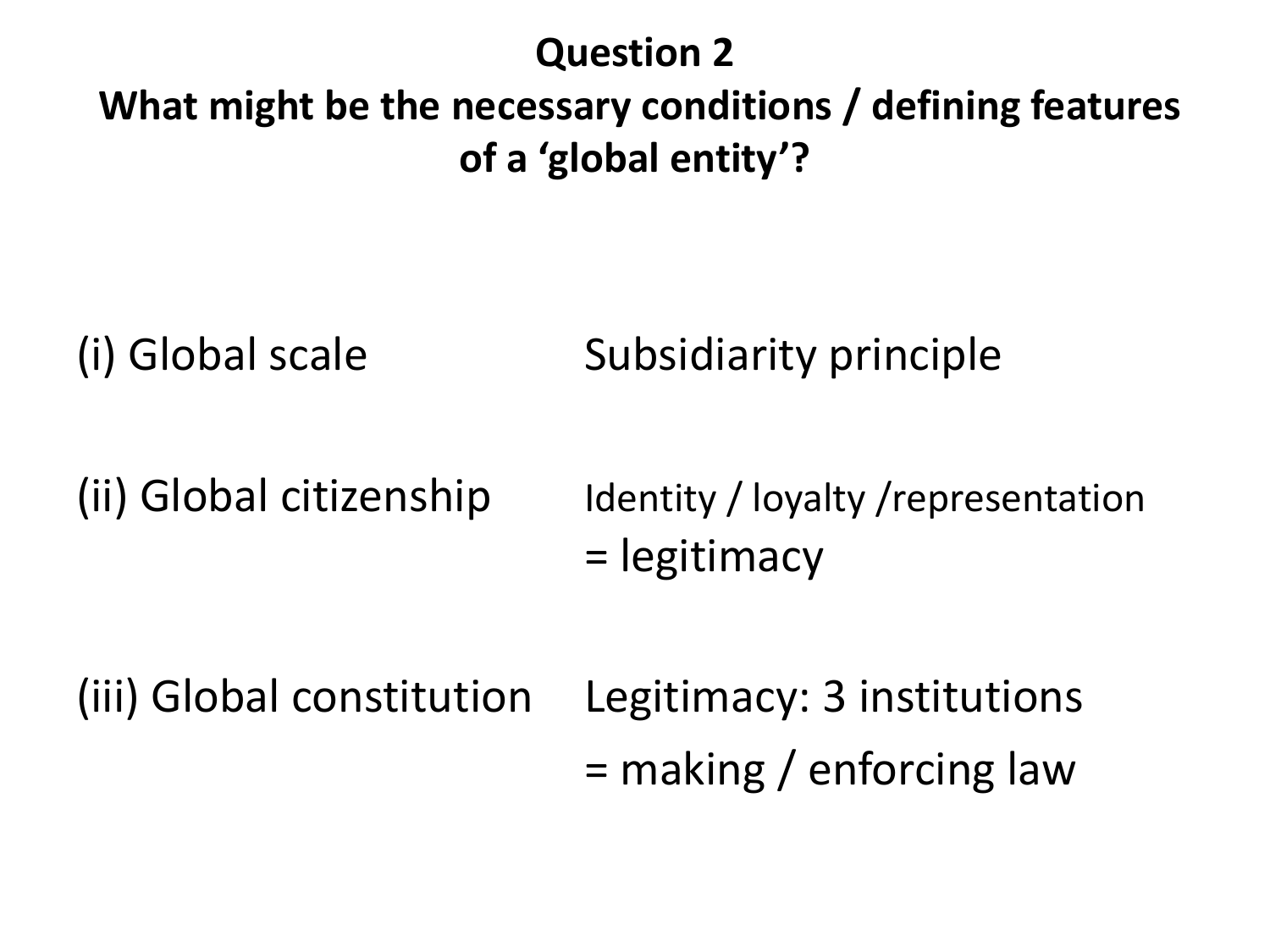### **Question 2 What might be the necessary conditions / defining features**

**of a 'global entity'?**

(i) Global scale Subsidiarity principle

(ii) Global citizenship Identity / loyalty /representation = legitimacy

(iii) Global constitution Legitimacy: 3 institutions = making / enforcing law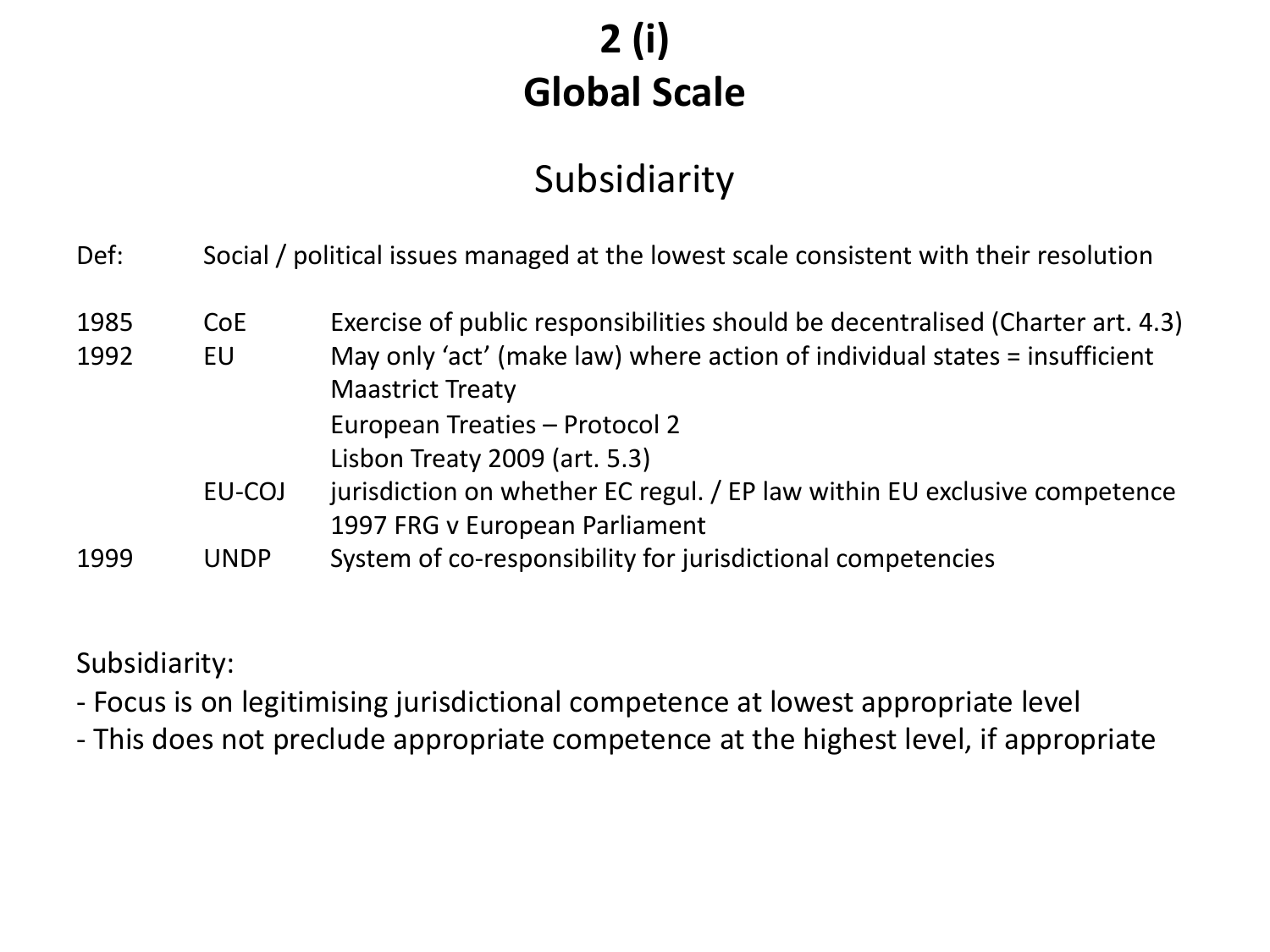## **2 (i) Global Scale**

### Subsidiarity

| Def: |  |  |  |  |  | Social / political issues managed at the lowest scale consistent with their resolution |
|------|--|--|--|--|--|----------------------------------------------------------------------------------------|
|------|--|--|--|--|--|----------------------------------------------------------------------------------------|

| 1985 | <b>CoE</b>  | Exercise of public responsibilities should be decentralised (Charter art. 4.3) |
|------|-------------|--------------------------------------------------------------------------------|
| 1992 | EU          | May only 'act' (make law) where action of individual states = insufficient     |
|      |             | <b>Maastrict Treaty</b>                                                        |
|      |             | European Treaties - Protocol 2                                                 |
|      |             | Lisbon Treaty 2009 (art. 5.3)                                                  |
|      | EU-COJ      | jurisdiction on whether EC regul. / EP law within EU exclusive competence      |
|      |             | 1997 FRG v European Parliament                                                 |
| 1999 | <b>UNDP</b> | System of co-responsibility for jurisdictional competencies                    |

Subsidiarity:

- Focus is on legitimising jurisdictional competence at lowest appropriate level

- This does not preclude appropriate competence at the highest level, if appropriate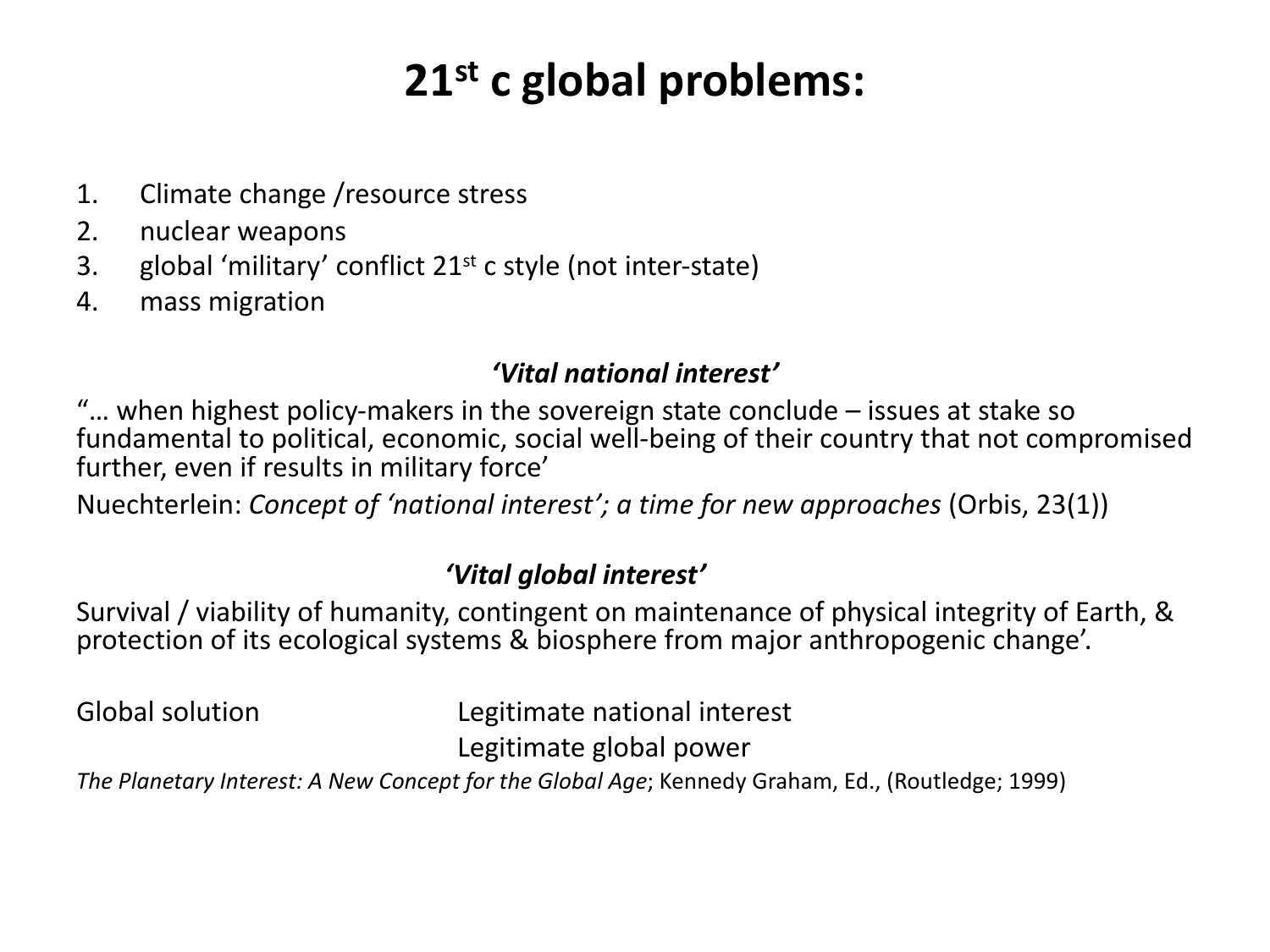# **21st c global problems:**

- 1. Climate change /resource stress
- 2. nuclear weapons
- 3. global 'military' conflict  $21^{st}$  c style (not inter-state)
- 4. mass migration

#### *'Vital national interest'*

"… when highest policy-makers in the sovereign state conclude – issues at stake so fundamental to political, economic, social well-being of their country that not compromised further, even if results in military force'

Nuechterlein: *Concept of 'national interest'; a time for new approaches* (Orbis, 23(1))

#### *'Vital global interest'*

Survival / viability of humanity, contingent on maintenance of physical integrity of Earth, & protection of its ecological systems & biosphere from major anthropogenic change'.

Global solution Legitimate national interest Legitimate global power

*The Planetary Interest: A New Concept for the Global Age*; Kennedy Graham, Ed., (Routledge; 1999)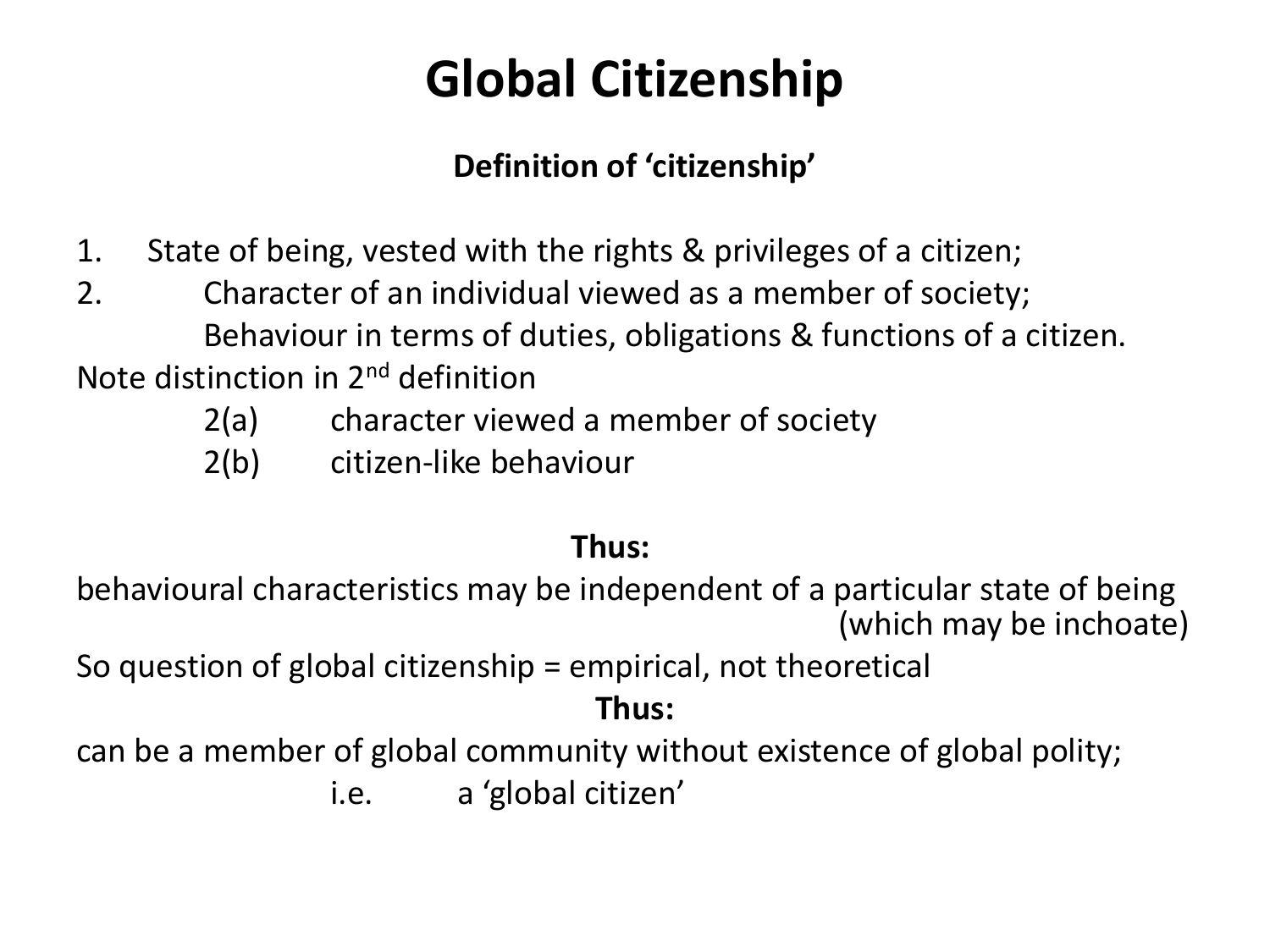# **Global Citizenship**

### **Definition of 'citizenship'**

- 1. State of being, vested with the rights & privileges of a citizen;
- 2. Character of an individual viewed as a member of society; Behaviour in terms of duties, obligations & functions of a citizen.

Note distinction in 2nd definition

- 2(a) character viewed a member of society
- 2(b) citizen-like behaviour

#### **Thus:**

behavioural characteristics may be independent of a particular state of being (which may be inchoate)

So question of global citizenship = empirical, not theoretical

#### **Thus:**

can be a member of global community without existence of global polity;

i.e. a 'global citizen'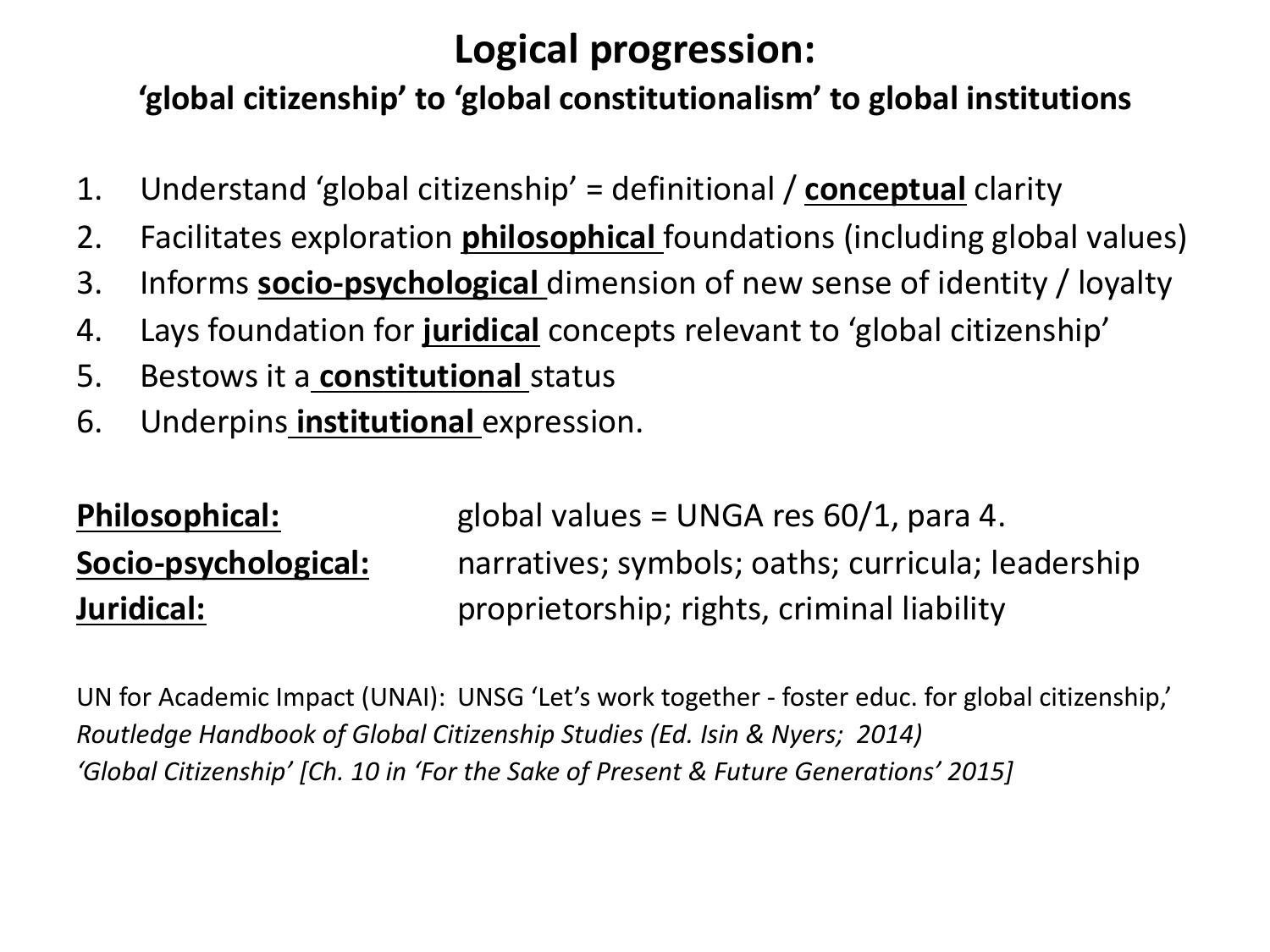### **Logical progression:**

### **'global citizenship' to 'global constitutionalism' to global institutions**

- 1. Understand 'global citizenship' = definitional / **conceptual** clarity
- 2. Facilitates exploration **philosophical** foundations (including global values)
- 3. Informs **socio-psychological** dimension of new sense of identity / loyalty
- 4. Lays foundation for **juridical** concepts relevant to 'global citizenship'
- 5. Bestows it a **constitutional** status
- 6. Underpins **institutional** expression.

**Philosophical:** global values = UNGA res 60/1, para 4. **Socio-psychological:** narratives; symbols; oaths; curricula; leadership **Juridical:** proprietorship; rights, criminal liability **Juridical:** 

UN for Academic Impact (UNAI): UNSG 'Let's work together - foster educ. for global citizenship,' *Routledge Handbook of Global Citizenship Studies (Ed. Isin & Nyers; 2014) 'Global Citizenship' [Ch. 10 in 'For the Sake of Present & Future Generations' 2015]*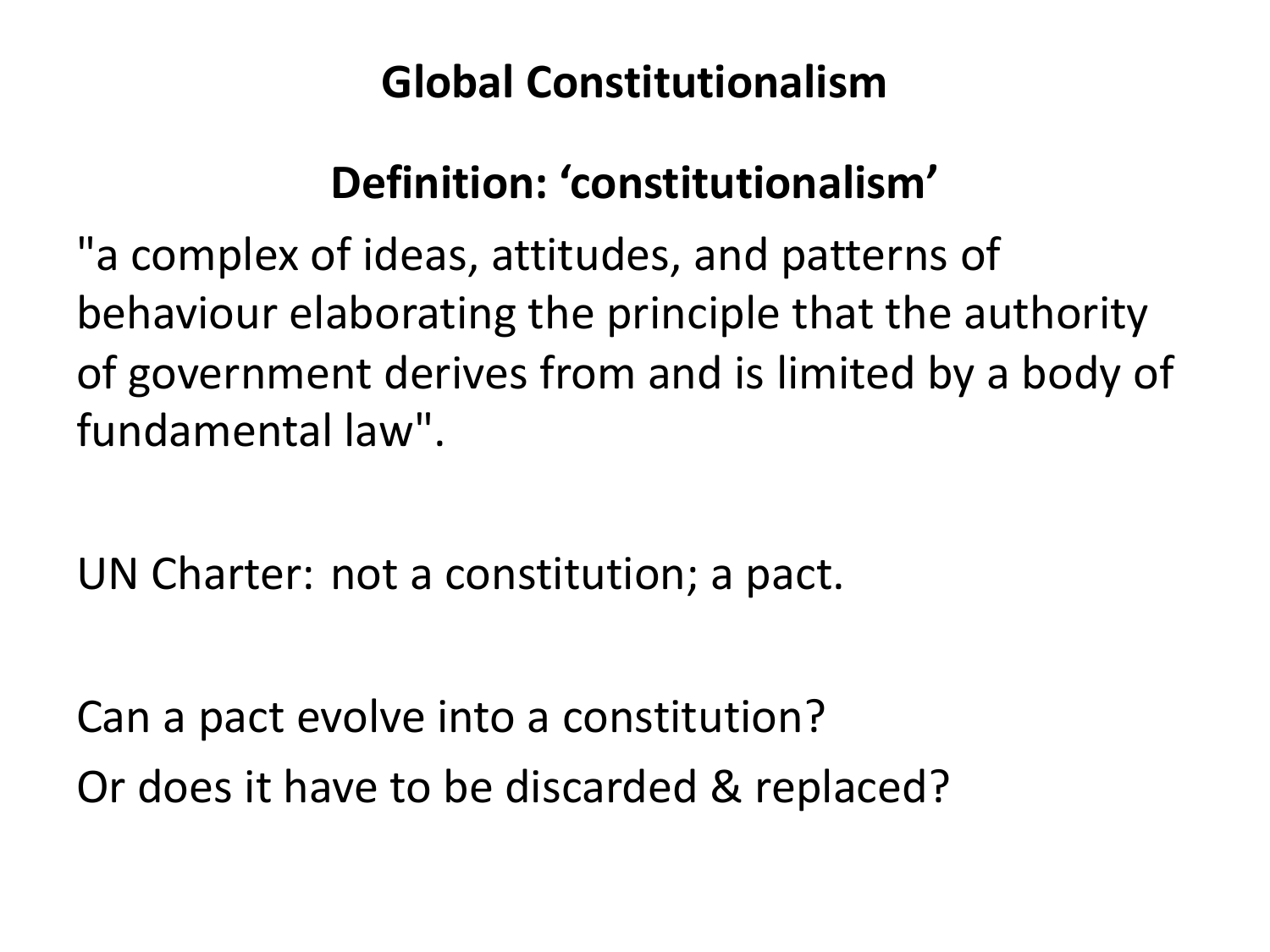## **Global Constitutionalism**

# **Definition: 'constitutionalism'**

"a complex of ideas, attitudes, and patterns of behaviour elaborating the principle that the authority of government derives from and is limited by a body of fundamental law".

UN Charter: not a constitution; a pact.

Can a pact evolve into a constitution? Or does it have to be discarded & replaced?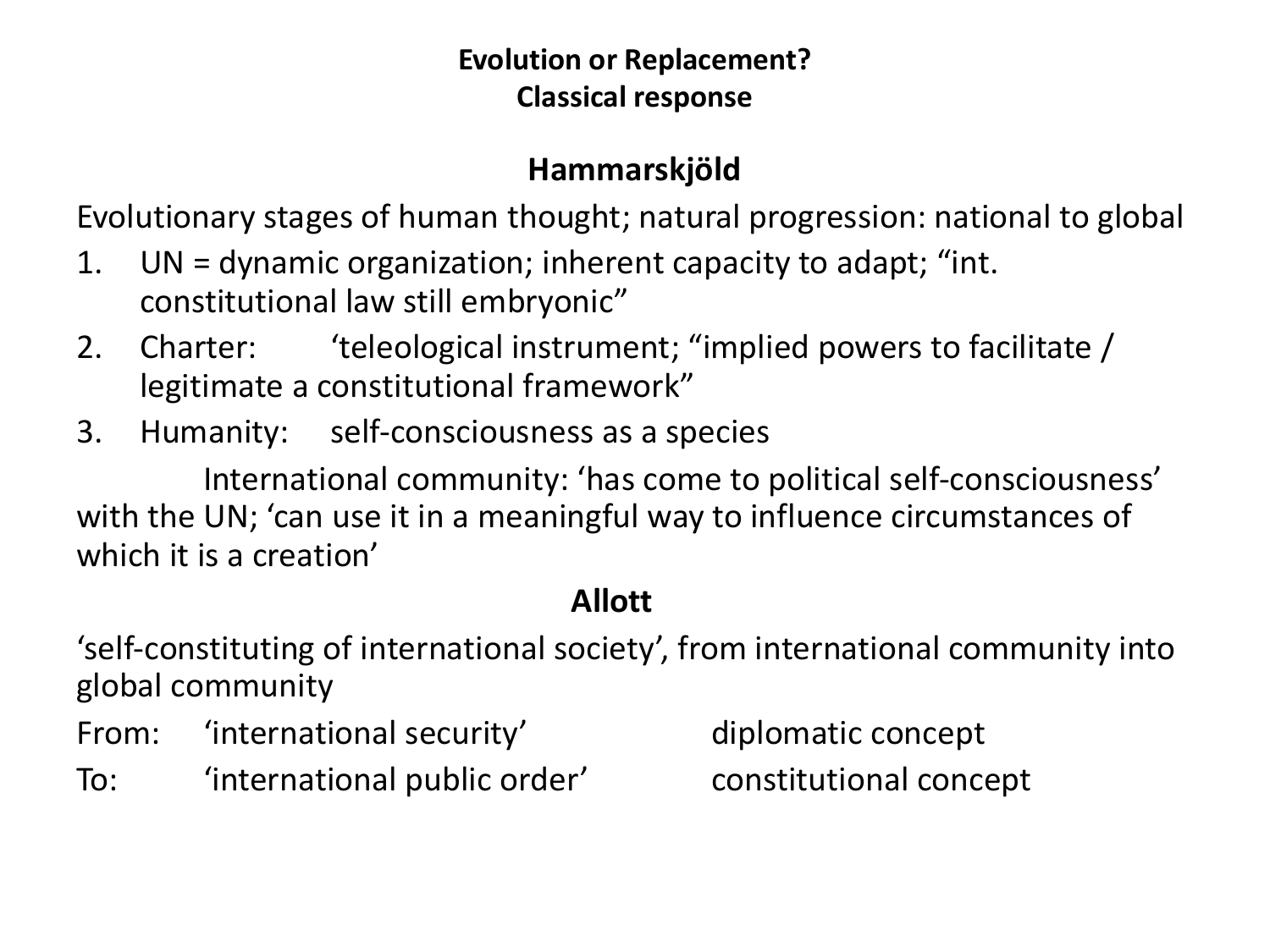#### **Evolution or Replacement? Classical response**

#### **Hammarskjöld**

Evolutionary stages of human thought; natural progression: national to global

- 1. UN = dynamic organization; inherent capacity to adapt; "int. constitutional law still embryonic"
- 2. Charter: 'teleological instrument; "implied powers to facilitate / legitimate a constitutional framework"
- 3. Humanity: self-consciousness as a species

International community: 'has come to political self-consciousness' with the UN; 'can use it in a meaningful way to influence circumstances of which it is a creation'

### **Allott**

'self-constituting of international society', from international community into global community

- From: 'international security' diplomatic concept
- To: 'international public order' constitutional concept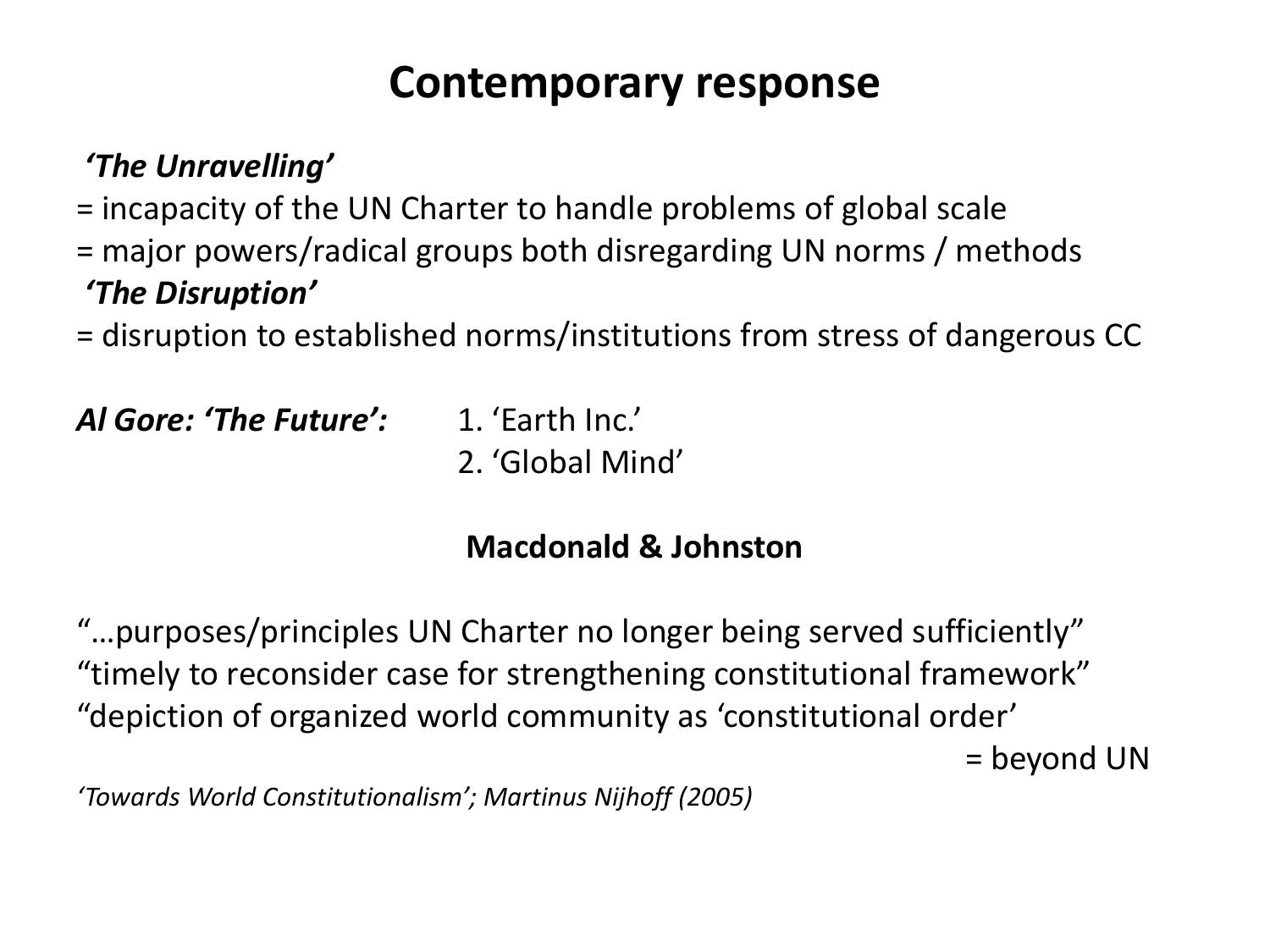### **Contemporary response**

### *'The Unravelling'*

= incapacity of the UN Charter to handle problems of global scale

= major powers/radical groups both disregarding UN norms / methods *'The Disruption'* 

= disruption to established norms/institutions from stress of dangerous CC

*Al Gore: 'The Future':* 1. 'Earth Inc.'

2. 'Global Mind'

### **Macdonald & Johnston**

"…purposes/principles UN Charter no longer being served sufficiently" "timely to reconsider case for strengthening constitutional framework" "depiction of organized world community as 'constitutional order'

= beyond UN

*'Towards World Constitutionalism'; Martinus Nijhoff (2005)*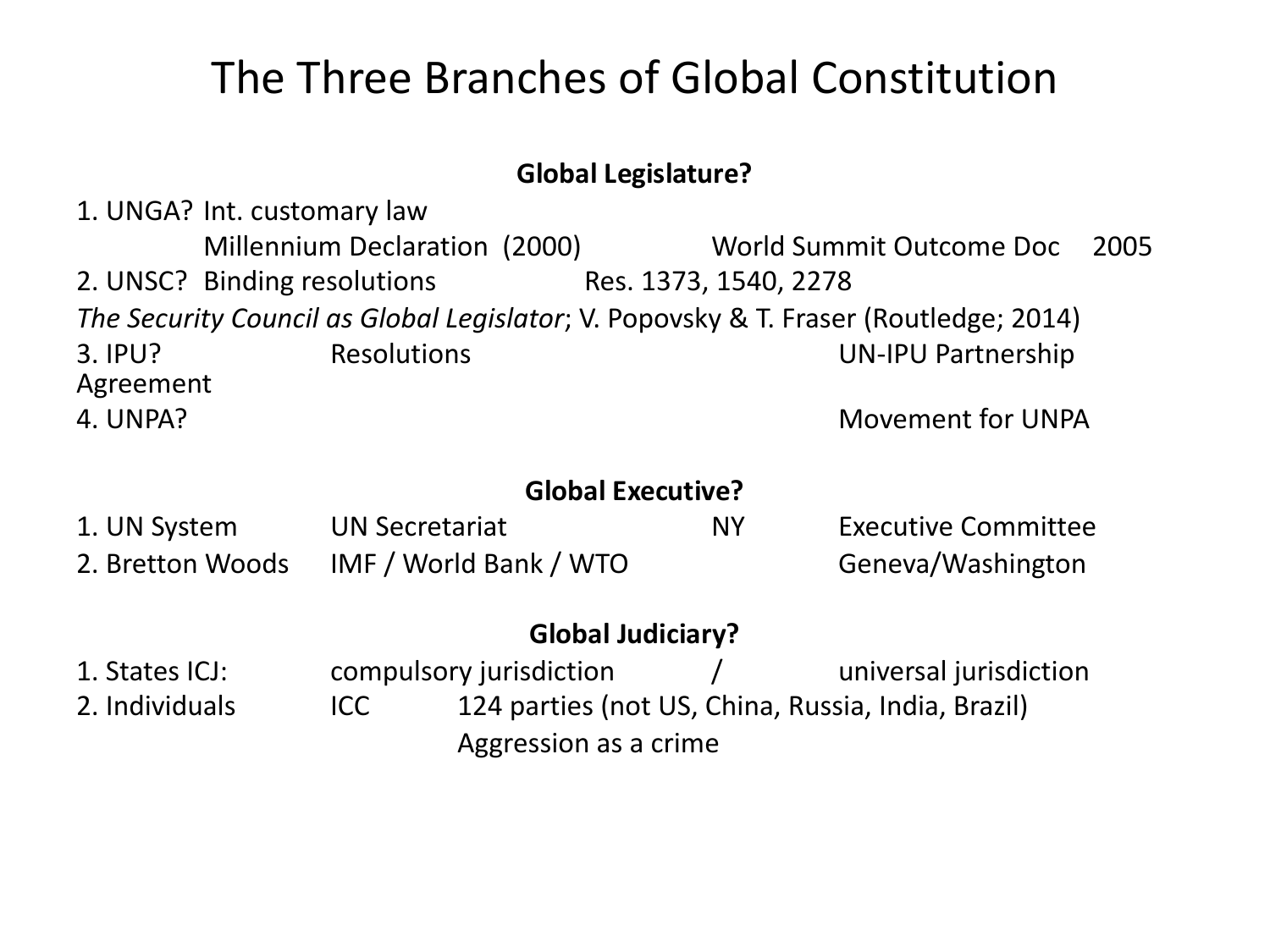## The Three Branches of Global Constitution

#### **Global Legislature?**

1. UNGA? Int. customary law Millennium Declaration (2000) World Summit Outcome Doc 2005 2. UNSC? Binding resolutions Res. 1373, 1540, 2278 *The Security Council as Global Legislator*; V. Popovsky & T. Fraser (Routledge; 2014) 3. IPU? Resolutions UN-IPU Partnership Agreement 4. UNPA? Movement for UNPA **Global Executive?** 1. UN System UN Secretariat NY Executive Committee 2. Bretton Woods IMF / World Bank / WTO Geneva/Washington **Global Judiciary?** 1. States ICJ: compulsory jurisdiction / universal jurisdiction 2. Individuals ICC 124 parties (not US, China, Russia, India, Brazil)

Aggression as a crime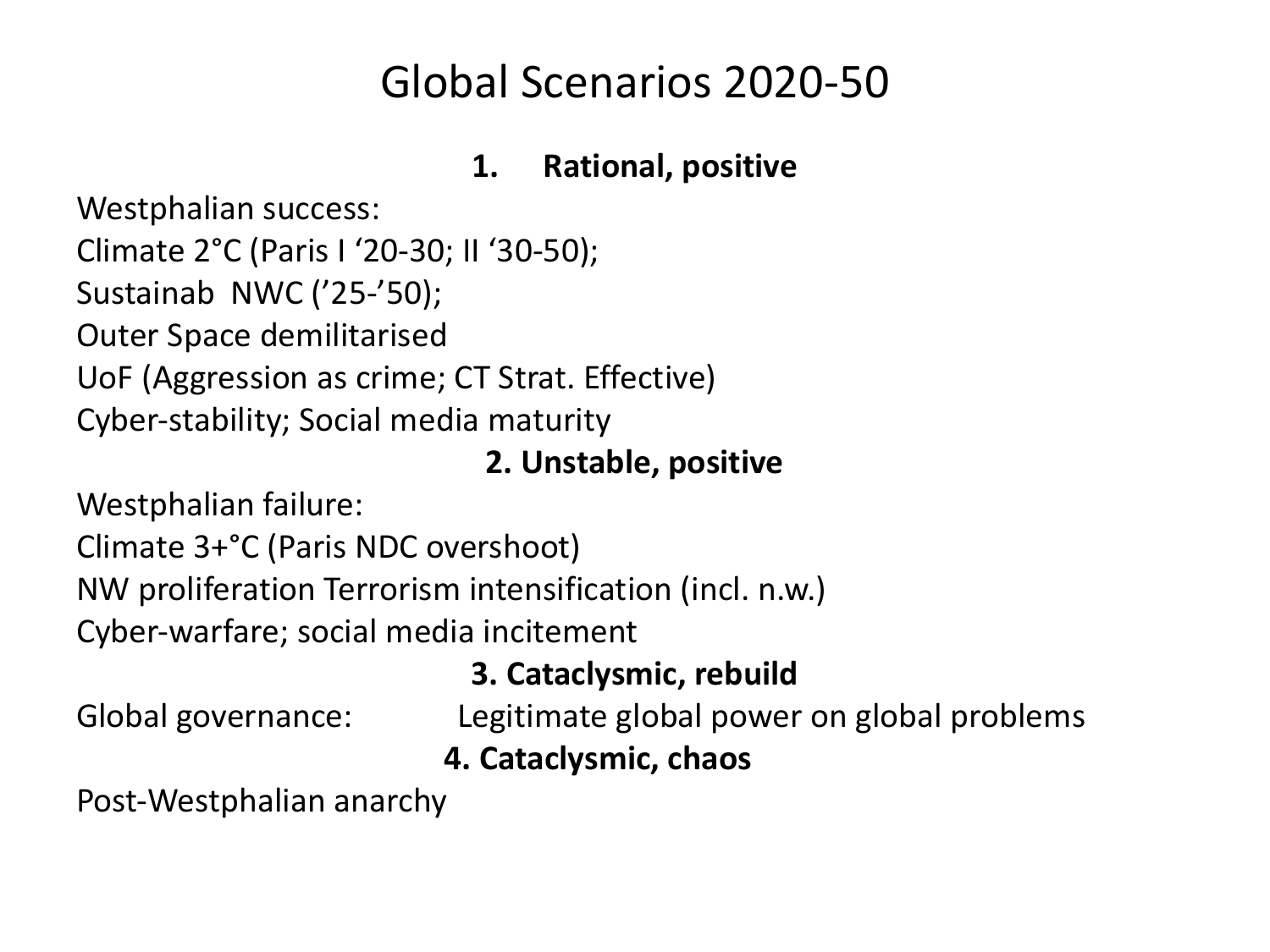## Global Scenarios 2020-50

#### **1. Rational, positive**

Westphalian success: Climate 2°C (Paris I '20-30; II '30-50); Sustainab NWC ('25-'50); Outer Space demilitarised UoF (Aggression as crime; CT Strat. Effective) Cyber-stability; Social media maturity

#### **2. Unstable, positive**

Westphalian failure:

Climate 3+°C (Paris NDC overshoot)

NW proliferation Terrorism intensification (incl. n.w.)

Cyber-warfare; social media incitement

### **3. Cataclysmic, rebuild**

Global governance: Legitimate global power on global problems

**4. Cataclysmic, chaos**

Post-Westphalian anarchy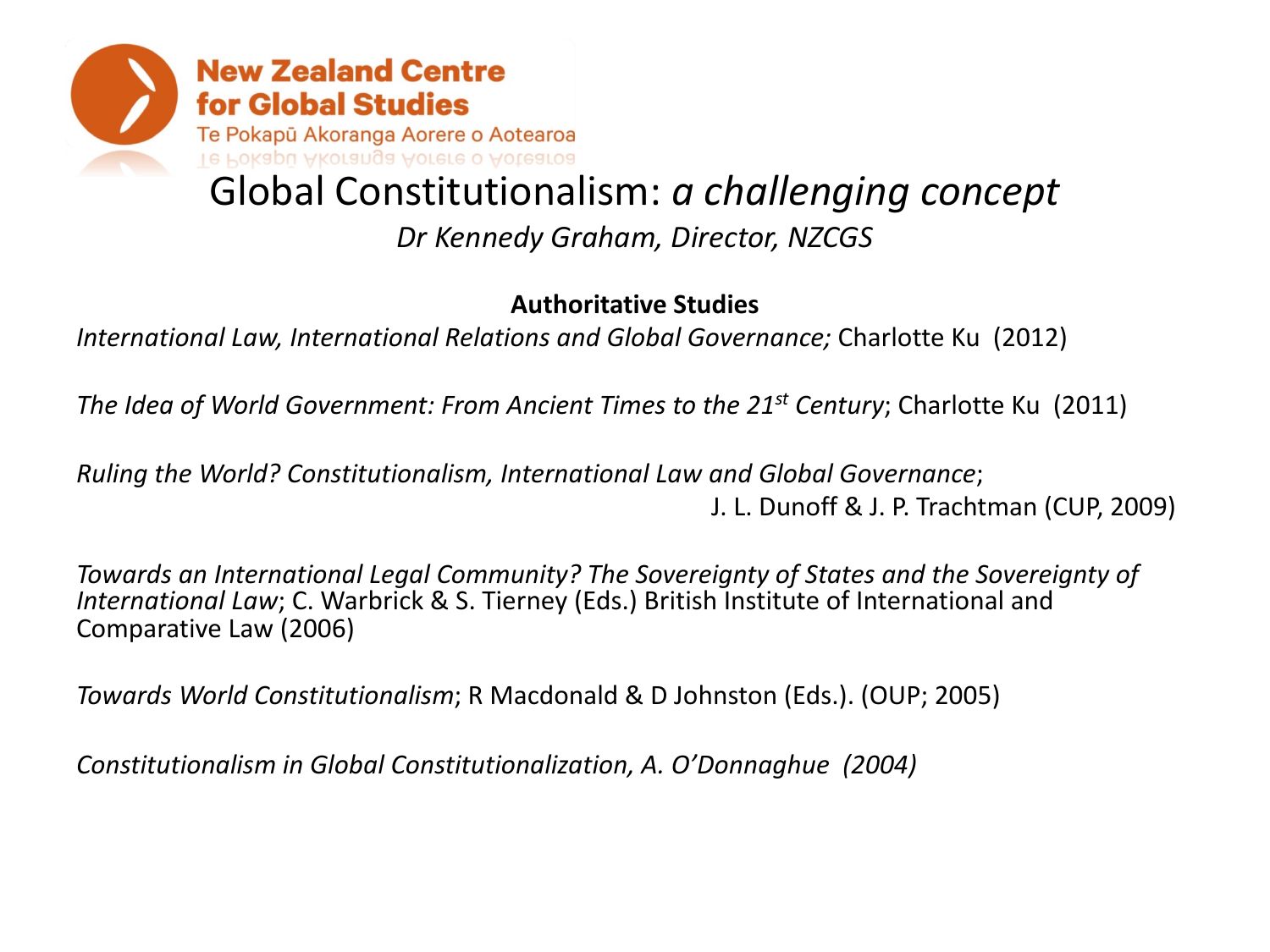

#### **Authoritative Studies**

*International Law, International Relations and Global Governance;* Charlotte Ku (2012)

*The Idea of World Government: From Ancient Times to the 21st Century*; Charlotte Ku (2011)

*Ruling the World? Constitutionalism, International Law and Global Governance*; J. L. Dunoff & J. P. Trachtman (CUP, 2009)

*Towards an International Legal Community? The Sovereignty of States and the Sovereignty of International Law*; C. Warbrick & S. Tierney (Eds.) British Institute of International and Comparative Law (2006)

*Towards World Constitutionalism*; R Macdonald & D Johnston (Eds.). (OUP; 2005)

*Constitutionalism in Global Constitutionalization, A. O'Donnaghue (2004)*